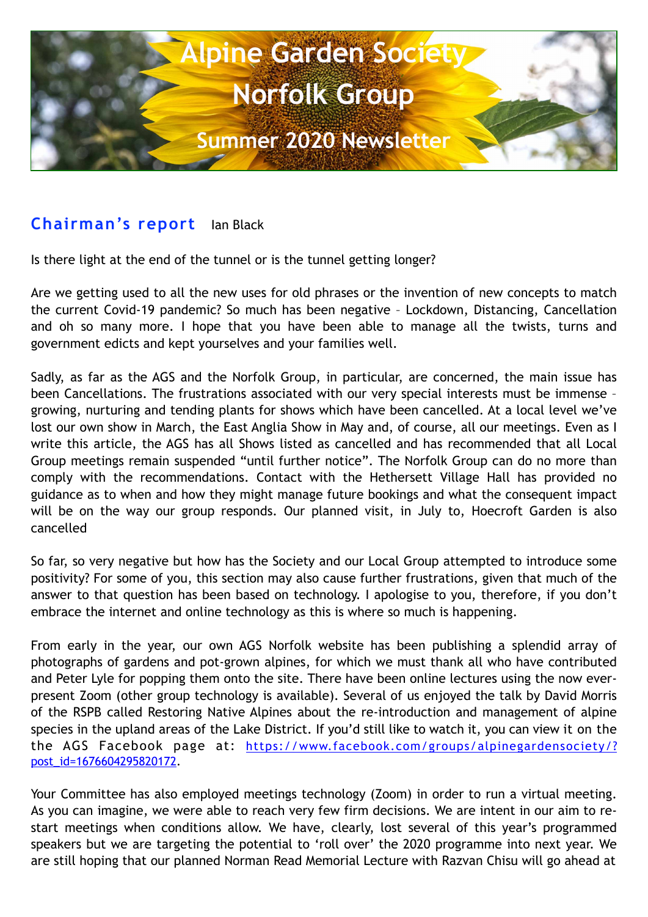

### **Chairman's report** Ian Black

Is there light at the end of the tunnel or is the tunnel getting longer?

Are we getting used to all the new uses for old phrases or the invention of new concepts to match the current Covid-19 pandemic? So much has been negative – Lockdown, Distancing, Cancellation and oh so many more. I hope that you have been able to manage all the twists, turns and government edicts and kept yourselves and your families well.

Sadly, as far as the AGS and the Norfolk Group, in particular, are concerned, the main issue has been Cancellations. The frustrations associated with our very special interests must be immense – growing, nurturing and tending plants for shows which have been cancelled. At a local level we've lost our own show in March, the East Anglia Show in May and, of course, all our meetings. Even as I write this article, the AGS has all Shows listed as cancelled and has recommended that all Local Group meetings remain suspended "until further notice". The Norfolk Group can do no more than comply with the recommendations. Contact with the Hethersett Village Hall has provided no guidance as to when and how they might manage future bookings and what the consequent impact will be on the way our group responds. Our planned visit, in July to, Hoecroft Garden is also cancelled

So far, so very negative but how has the Society and our Local Group attempted to introduce some positivity? For some of you, this section may also cause further frustrations, given that much of the answer to that question has been based on technology. I apologise to you, therefore, if you don't embrace the internet and online technology as this is where so much is happening.

From early in the year, our own AGS Norfolk website has been publishing a splendid array of photographs of gardens and pot-grown alpines, for which we must thank all who have contributed and Peter Lyle for popping them onto the site. There have been online lectures using the now everpresent Zoom (other group technology is available). Several of us enjoyed the talk by David Morris of the RSPB called Restoring Native Alpines about the re-introduction and management of alpine species in the upland areas of the Lake District. If you'd still like to watch it, you can view it on the the AGS Facebook page at: [https://www.facebook.com/groups/alpinegardensociety/?](https://www.facebook.com/groups/alpinegardensociety/?post_id=1676604295820172) [post\\_id=1676604295820172](https://www.facebook.com/groups/alpinegardensociety/?post_id=1676604295820172).

Your Committee has also employed meetings technology (Zoom) in order to run a virtual meeting. As you can imagine, we were able to reach very few firm decisions. We are intent in our aim to restart meetings when conditions allow. We have, clearly, lost several of this year's programmed speakers but we are targeting the potential to 'roll over' the 2020 programme into next year. We are still hoping that our planned Norman Read Memorial Lecture with Razvan Chisu will go ahead at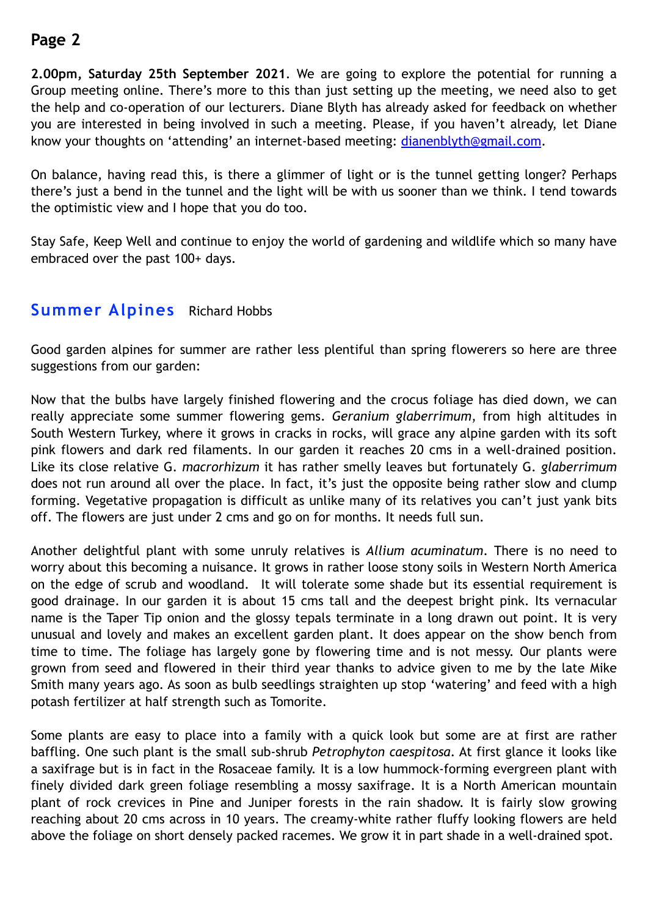**2.00pm, Saturday 25th September 2021**. We are going to explore the potential for running a Group meeting online. There's more to this than just setting up the meeting, we need also to get the help and co-operation of our lecturers. Diane Blyth has already asked for feedback on whether you are interested in being involved in such a meeting. Please, if you haven't already, let Diane know your thoughts on 'attending' an internet-based meeting: [dianenblyth@gmail.com](mailto:dianenblyth@gmail.com).

On balance, having read this, is there a glimmer of light or is the tunnel getting longer? Perhaps there's just a bend in the tunnel and the light will be with us sooner than we think. I tend towards the optimistic view and I hope that you do too.

Stay Safe, Keep Well and continue to enjoy the world of gardening and wildlife which so many have embraced over the past 100+ days.

#### **Summer Alpines** Richard Hobbs

Good garden alpines for summer are rather less plentiful than spring flowerers so here are three suggestions from our garden:

Now that the bulbs have largely finished flowering and the crocus foliage has died down, we can really appreciate some summer flowering gems. *Geranium glaberrimum*, from high altitudes in South Western Turkey, where it grows in cracks in rocks, will grace any alpine garden with its soft pink flowers and dark red filaments. In our garden it reaches 20 cms in a well-drained position. Like its close relative G. *macrorhizum* it has rather smelly leaves but fortunately G. *glaberrimum*  does not run around all over the place. In fact, it's just the opposite being rather slow and clump forming. Vegetative propagation is difficult as unlike many of its relatives you can't just yank bits off. The flowers are just under 2 cms and go on for months. It needs full sun.

Another delightful plant with some unruly relatives is *Allium acuminatum*. There is no need to worry about this becoming a nuisance. It grows in rather loose stony soils in Western North America on the edge of scrub and woodland. It will tolerate some shade but its essential requirement is good drainage. In our garden it is about 15 cms tall and the deepest bright pink. Its vernacular name is the Taper Tip onion and the glossy tepals terminate in a long drawn out point. It is very unusual and lovely and makes an excellent garden plant. It does appear on the show bench from time to time. The foliage has largely gone by flowering time and is not messy. Our plants were grown from seed and flowered in their third year thanks to advice given to me by the late Mike Smith many years ago. As soon as bulb seedlings straighten up stop 'watering' and feed with a high potash fertilizer at half strength such as Tomorite.

Some plants are easy to place into a family with a quick look but some are at first are rather baffling. One such plant is the small sub-shrub *Petrophyton caespitosa*. At first glance it looks like a saxifrage but is in fact in the Rosaceae family. It is a low hummock-forming evergreen plant with finely divided dark green foliage resembling a mossy saxifrage. It is a North American mountain plant of rock crevices in Pine and Juniper forests in the rain shadow. It is fairly slow growing reaching about 20 cms across in 10 years. The creamy-white rather fluffy looking flowers are held above the foliage on short densely packed racemes. We grow it in part shade in a well-drained spot.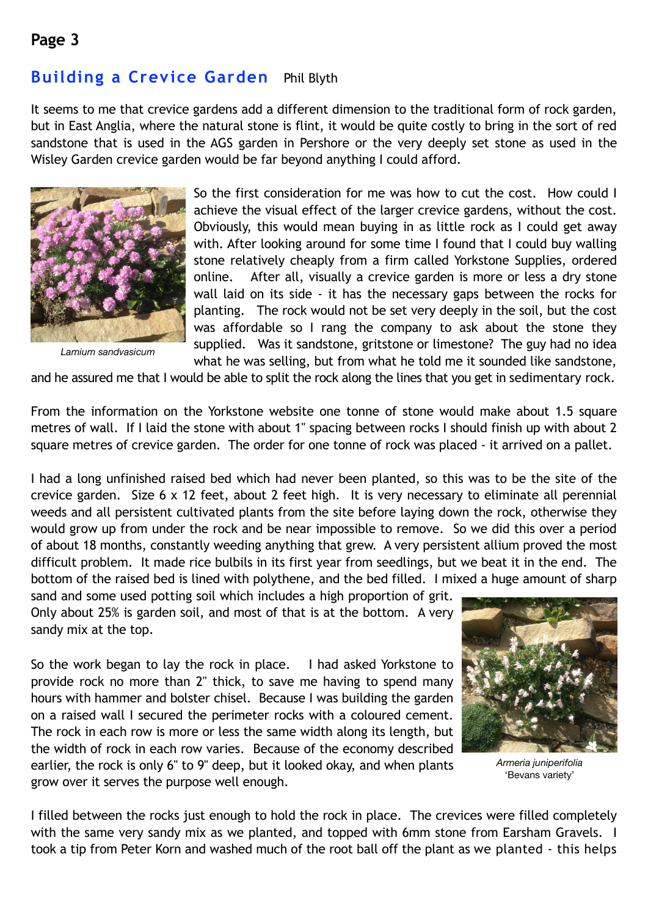# **Building a Crevice Garden** Phil Blyth

It seems to me that crevice gardens add a different dimension to the traditional form of rock garden, but in East Anglia, where the natural stone is flint, it would be quite costly to bring in the sort of red sandstone that is used in the AGS garden in Pershore or the very deeply set stone as used in the Wisley Garden crevice garden would be far beyond anything I could afford.



*Lamium sandvasicum*

So the first consideration for me was how to cut the cost. How could I achieve the visual effect of the larger crevice gardens, without the cost. Obviously, this would mean buying in as little rock as I could get away with. After looking around for some time I found that I could buy walling stone relatively cheaply from a firm called Yorkstone Supplies, ordered online. After all, visually a crevice garden is more or less a dry stone wall laid on its side - it has the necessary gaps between the rocks for planting. The rock would not be set very deeply in the soil, but the cost was affordable so I rang the company to ask about the stone they supplied. Was it sandstone, gritstone or limestone? The guy had no idea what he was selling, but from what he told me it sounded like sandstone,

and he assured me that I would be able to split the rock along the lines that you get in sedimentary rock.

From the information on the Yorkstone website one tonne of stone would make about 1.5 square metres of wall. If I laid the stone with about 1" spacing between rocks I should finish up with about 2 square metres of crevice garden. The order for one tonne of rock was placed - it arrived on a pallet.

I had a long unfinished raised bed which had never been planted, so this was to be the site of the crevice garden. Size 6 x 12 feet, about 2 feet high. It is very necessary to eliminate all perennial weeds and all persistent cultivated plants from the site before laying down the rock, otherwise they would grow up from under the rock and be near impossible to remove. So we did this over a period of about 18 months, constantly weeding anything that grew. A very persistent allium proved the most difficult problem. It made rice bulbils in its first year from seedlings, but we beat it in the end. The bottom of the raised bed is lined with polythene, and the bed filled. I mixed a huge amount of sharp

sand and some used potting soil which includes a high proportion of grit. Only about 25% is garden soil, and most of that is at the bottom. A very sandy mix at the top.

So the work began to lay the rock in place. I had asked Yorkstone to provide rock no more than 2" thick, to save me having to spend many hours with hammer and bolster chisel. Because I was building the garden on a raised wall I secured the perimeter rocks with a coloured cement. The rock in each row is more or less the same width along its length, but the width of rock in each row varies. Because of the economy described earlier, the rock is only 6" to 9" deep, but it looked okay, and when plants grow over it serves the purpose well enough.



*Armeria juniperifolia* 'Bevans variety'

I filled between the rocks just enough to hold the rock in place. The crevices were filled completely with the same very sandy mix as we planted, and topped with 6mm stone from Earsham Gravels. I took a tip from Peter Korn and washed much of the root ball off the plant as we planted - this helps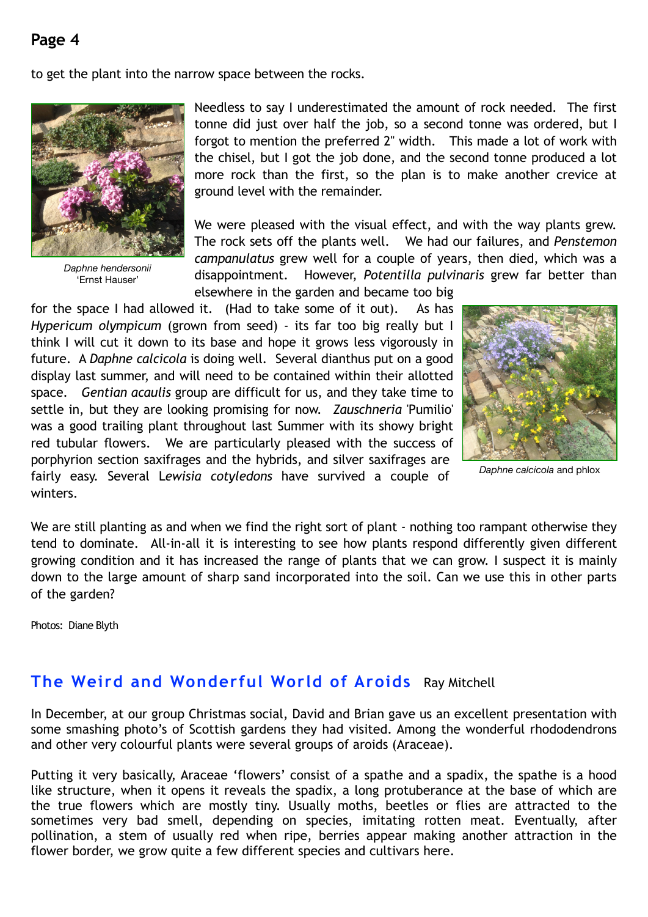to get the plant into the narrow space between the rocks.



*Daphne hendersonii* 'Ernst Hauser'

Needless to say I underestimated the amount of rock needed. The first tonne did just over half the job, so a second tonne was ordered, but I forgot to mention the preferred 2" width. This made a lot of work with the chisel, but I got the job done, and the second tonne produced a lot more rock than the first, so the plan is to make another crevice at ground level with the remainder.

We were pleased with the visual effect, and with the way plants grew. The rock sets off the plants well. We had our failures, and *Penstemon campanulatus* grew well for a couple of years, then died, which was a disappointment. However, *Potentilla pulvinaris* grew far better than elsewhere in the garden and became too big

for the space I had allowed it. (Had to take some of it out). As has *Hypericum olympicum* (grown from seed) - its far too big really but I think I will cut it down to its base and hope it grows less vigorously in future. A *Daphne calcicola* is doing well. Several dianthus put on a good display last summer, and will need to be contained within their allotted space. *Gentian acaulis* group are difficult for us, and they take time to settle in, but they are looking promising for now. *Zauschneria* 'Pumilio' was a good trailing plant throughout last Summer with its showy bright red tubular flowers. We are particularly pleased with the success of porphyrion section saxifrages and the hybrids, and silver saxifrages are fairly easy. Several L*ewisia cotyledons* have survived a couple of winters.



*Daphne calcicola* and phlox

We are still planting as and when we find the right sort of plant - nothing too rampant otherwise they tend to dominate. All-in-all it is interesting to see how plants respond differently given different growing condition and it has increased the range of plants that we can grow. I suspect it is mainly down to the large amount of sharp sand incorporated into the soil. Can we use this in other parts of the garden?

Photos: Diane Blyth

# **The Weird and Wonderful World of Aroids** Ray Mitchell

In December, at our group Christmas social, David and Brian gave us an excellent presentation with some smashing photo's of Scottish gardens they had visited. Among the wonderful rhododendrons and other very colourful plants were several groups of aroids (Araceae).

Putting it very basically, Araceae 'flowers' consist of a spathe and a spadix, the spathe is a hood like structure, when it opens it reveals the spadix, a long protuberance at the base of which are the true flowers which are mostly tiny. Usually moths, beetles or flies are attracted to the sometimes very bad smell, depending on species, imitating rotten meat. Eventually, after pollination, a stem of usually red when ripe, berries appear making another attraction in the flower border, we grow quite a few different species and cultivars here.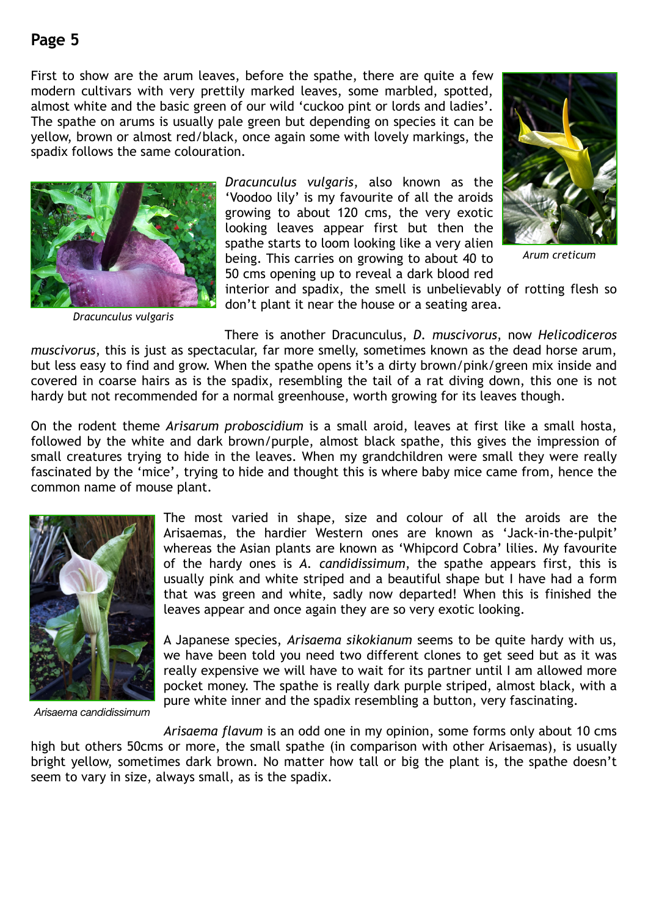First to show are the arum leaves, before the spathe, there are quite a few modern cultivars with very prettily marked leaves, some marbled, spotted, almost white and the basic green of our wild 'cuckoo pint or lords and ladies'. The spathe on arums is usually pale green but depending on species it can be yellow, brown or almost red/black, once again some with lovely markings, the spadix follows the same colouration.



*Dracunculus vulgaris*

*Dracunculus vulgaris*, also known as the 'Voodoo lily' is my favourite of all the aroids growing to about 120 cms, the very exotic looking leaves appear first but then the spathe starts to loom looking like a very alien being. This carries on growing to about 40 to 50 cms opening up to reveal a dark blood red



*Arum creticum*

interior and spadix, the smell is unbelievably of rotting flesh so don't plant it near the house or a seating area.

There is another Dracunculus, *D. muscivorus*, now *Helicodiceros muscivorus*, this is just as spectacular, far more smelly, sometimes known as the dead horse arum, but less easy to find and grow. When the spathe opens it's a dirty brown/pink/green mix inside and covered in coarse hairs as is the spadix, resembling the tail of a rat diving down, this one is not hardy but not recommended for a normal greenhouse, worth growing for its leaves though.

On the rodent theme *Arisarum proboscidium* is a small aroid, leaves at first like a small hosta, followed by the white and dark brown/purple, almost black spathe, this gives the impression of small creatures trying to hide in the leaves. When my grandchildren were small they were really fascinated by the 'mice', trying to hide and thought this is where baby mice came from, hence the common name of mouse plant.



*Arisaema candidissimum*

The most varied in shape, size and colour of all the aroids are the Arisaemas, the hardier Western ones are known as 'Jack-in-the-pulpit' whereas the Asian plants are known as 'Whipcord Cobra' lilies. My favourite of the hardy ones is *A. candidissimum*, the spathe appears first, this is usually pink and white striped and a beautiful shape but I have had a form that was green and white, sadly now departed! When this is finished the leaves appear and once again they are so very exotic looking.

A Japanese species, *Arisaema sikokianum* seems to be quite hardy with us, we have been told you need two different clones to get seed but as it was really expensive we will have to wait for its partner until I am allowed more pocket money. The spathe is really dark purple striped, almost black, with a pure white inner and the spadix resembling a button, very fascinating.

*Arisaema flavum* is an odd one in my opinion, some forms only about 10 cms high but others 50cms or more, the small spathe (in comparison with other Arisaemas), is usually bright yellow, sometimes dark brown. No matter how tall or big the plant is, the spathe doesn't seem to vary in size, always small, as is the spadix.